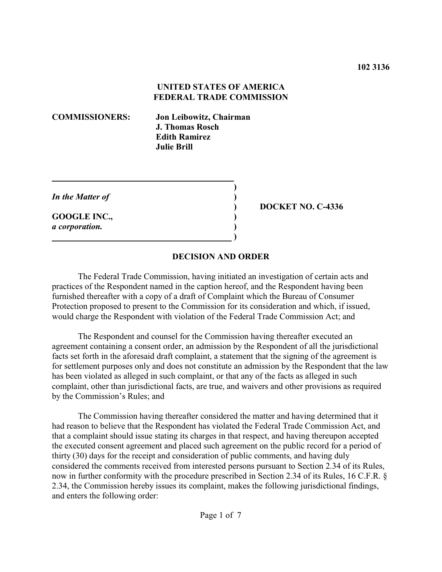### **UNITED STATES OF AMERICA FEDERAL TRADE COMMISSION**

**COMMISSIONERS: Jon Leibowitz, Chairman J. Thomas Rosch Edith Ramirez Julie Brill**

*In the Matter of* **)**

**GOOGLE INC., )** *a corporation.* **)**

 **)**

**) DOCKET NO. C-4336**

### **DECISION AND ORDER**

**)**

The Federal Trade Commission, having initiated an investigation of certain acts and practices of the Respondent named in the caption hereof, and the Respondent having been furnished thereafter with a copy of a draft of Complaint which the Bureau of Consumer Protection proposed to present to the Commission for its consideration and which, if issued, would charge the Respondent with violation of the Federal Trade Commission Act; and

The Respondent and counsel for the Commission having thereafter executed an agreement containing a consent order, an admission by the Respondent of all the jurisdictional facts set forth in the aforesaid draft complaint, a statement that the signing of the agreement is for settlement purposes only and does not constitute an admission by the Respondent that the law has been violated as alleged in such complaint, or that any of the facts as alleged in such complaint, other than jurisdictional facts, are true, and waivers and other provisions as required by the Commission's Rules; and

The Commission having thereafter considered the matter and having determined that it had reason to believe that the Respondent has violated the Federal Trade Commission Act, and that a complaint should issue stating its charges in that respect, and having thereupon accepted the executed consent agreement and placed such agreement on the public record for a period of thirty (30) days for the receipt and consideration of public comments, and having duly considered the comments received from interested persons pursuant to Section 2.34 of its Rules, now in further conformity with the procedure prescribed in Section 2.34 of its Rules, 16 C.F.R. § 2.34, the Commission hereby issues its complaint, makes the following jurisdictional findings, and enters the following order: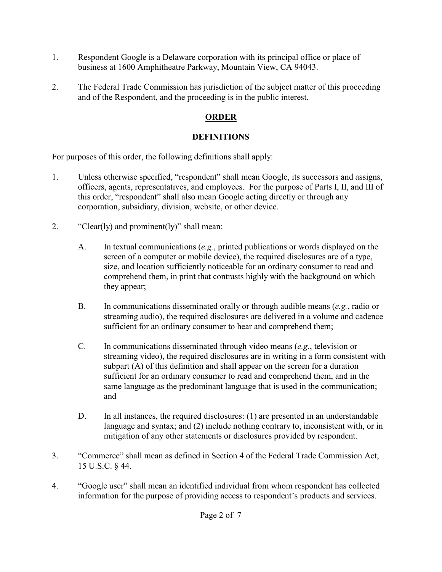- 1. Respondent Google is a Delaware corporation with its principal office or place of business at 1600 Amphitheatre Parkway, Mountain View, CA 94043.
- 2. The Federal Trade Commission has jurisdiction of the subject matter of this proceeding and of the Respondent, and the proceeding is in the public interest.

# **ORDER**

## **DEFINITIONS**

For purposes of this order, the following definitions shall apply:

- 1. Unless otherwise specified, "respondent" shall mean Google, its successors and assigns, officers, agents, representatives, and employees. For the purpose of Parts I, II, and III of this order, "respondent" shall also mean Google acting directly or through any corporation, subsidiary, division, website, or other device.
- 2. "Clear(ly) and prominent(ly)" shall mean:
	- A. In textual communications (*e.g.*, printed publications or words displayed on the screen of a computer or mobile device), the required disclosures are of a type, size, and location sufficiently noticeable for an ordinary consumer to read and comprehend them, in print that contrasts highly with the background on which they appear;
	- B. In communications disseminated orally or through audible means (*e.g.*, radio or streaming audio), the required disclosures are delivered in a volume and cadence sufficient for an ordinary consumer to hear and comprehend them;
	- C. In communications disseminated through video means (*e.g.*, television or streaming video), the required disclosures are in writing in a form consistent with subpart (A) of this definition and shall appear on the screen for a duration sufficient for an ordinary consumer to read and comprehend them, and in the same language as the predominant language that is used in the communication; and
	- D. In all instances, the required disclosures: (1) are presented in an understandable language and syntax; and (2) include nothing contrary to, inconsistent with, or in mitigation of any other statements or disclosures provided by respondent.
- 3. "Commerce" shall mean as defined in Section 4 of the Federal Trade Commission Act, 15 U.S.C. § 44.
- 4. "Google user" shall mean an identified individual from whom respondent has collected information for the purpose of providing access to respondent's products and services.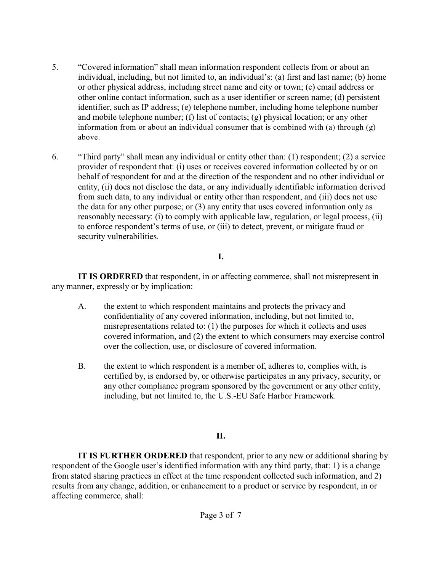- 5. "Covered information" shall mean information respondent collects from or about an individual, including, but not limited to, an individual's: (a) first and last name; (b) home or other physical address, including street name and city or town; (c) email address or other online contact information, such as a user identifier or screen name; (d) persistent identifier, such as IP address; (e) telephone number, including home telephone number and mobile telephone number; (f) list of contacts; (g) physical location; or any other information from or about an individual consumer that is combined with (a) through (g) above.
- 6. "Third party" shall mean any individual or entity other than: (1) respondent; (2) a service provider of respondent that: (i) uses or receives covered information collected by or on behalf of respondent for and at the direction of the respondent and no other individual or entity, (ii) does not disclose the data, or any individually identifiable information derived from such data, to any individual or entity other than respondent, and (iii) does not use the data for any other purpose; or (3) any entity that uses covered information only as reasonably necessary: (i) to comply with applicable law, regulation, or legal process, (ii) to enforce respondent's terms of use, or (iii) to detect, prevent, or mitigate fraud or security vulnerabilities.

### **I.**

**IT IS ORDERED** that respondent, in or affecting commerce, shall not misrepresent in any manner, expressly or by implication:

- A. the extent to which respondent maintains and protects the privacy and confidentiality of any covered information, including, but not limited to, misrepresentations related to: (1) the purposes for which it collects and uses covered information, and (2) the extent to which consumers may exercise control over the collection, use, or disclosure of covered information.
- B. the extent to which respondent is a member of, adheres to, complies with, is certified by, is endorsed by, or otherwise participates in any privacy, security, or any other compliance program sponsored by the government or any other entity, including, but not limited to, the U.S.-EU Safe Harbor Framework.

### **II.**

**IT IS FURTHER ORDERED** that respondent, prior to any new or additional sharing by respondent of the Google user's identified information with any third party, that: 1) is a change from stated sharing practices in effect at the time respondent collected such information, and 2) results from any change, addition, or enhancement to a product or service by respondent, in or affecting commerce, shall: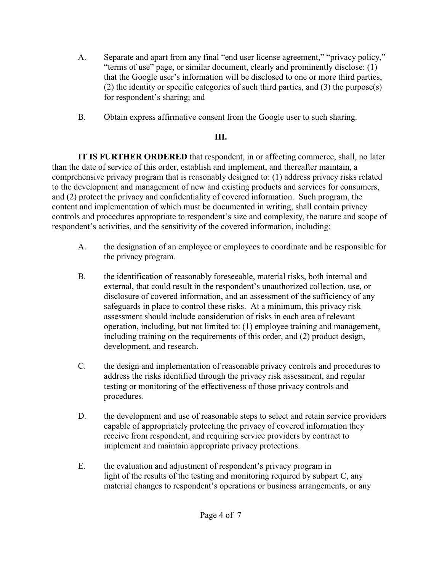- A. Separate and apart from any final "end user license agreement," "privacy policy," "terms of use" page, or similar document, clearly and prominently disclose: (1) that the Google user's information will be disclosed to one or more third parties, (2) the identity or specific categories of such third parties, and (3) the purpose(s) for respondent's sharing; and
- B. Obtain express affirmative consent from the Google user to such sharing.

# **III.**

**IT IS FURTHER ORDERED** that respondent, in or affecting commerce, shall, no later than the date of service of this order, establish and implement, and thereafter maintain, a comprehensive privacy program that is reasonably designed to: (1) address privacy risks related to the development and management of new and existing products and services for consumers, and (2) protect the privacy and confidentiality of covered information. Such program, the content and implementation of which must be documented in writing, shall contain privacy controls and procedures appropriate to respondent's size and complexity, the nature and scope of respondent's activities, and the sensitivity of the covered information, including:

- A. the designation of an employee or employees to coordinate and be responsible for the privacy program.
- B. the identification of reasonably foreseeable, material risks, both internal and external, that could result in the respondent's unauthorized collection, use, or disclosure of covered information, and an assessment of the sufficiency of any safeguards in place to control these risks. At a minimum, this privacy risk assessment should include consideration of risks in each area of relevant operation, including, but not limited to: (1) employee training and management, including training on the requirements of this order, and (2) product design, development, and research.
- C. the design and implementation of reasonable privacy controls and procedures to address the risks identified through the privacy risk assessment, and regular testing or monitoring of the effectiveness of those privacy controls and procedures.
- D. the development and use of reasonable steps to select and retain service providers capable of appropriately protecting the privacy of covered information they receive from respondent, and requiring service providers by contract to implement and maintain appropriate privacy protections.
- E. the evaluation and adjustment of respondent's privacy program in light of the results of the testing and monitoring required by subpart C, any material changes to respondent's operations or business arrangements, or any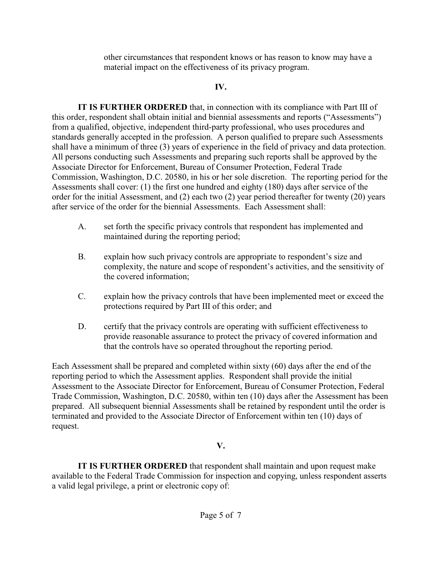other circumstances that respondent knows or has reason to know may have a material impact on the effectiveness of its privacy program.

### **IV.**

**IT IS FURTHER ORDERED** that, in connection with its compliance with Part III of this order, respondent shall obtain initial and biennial assessments and reports ("Assessments") from a qualified, objective, independent third-party professional, who uses procedures and standards generally accepted in the profession. A person qualified to prepare such Assessments shall have a minimum of three (3) years of experience in the field of privacy and data protection. All persons conducting such Assessments and preparing such reports shall be approved by the Associate Director for Enforcement, Bureau of Consumer Protection, Federal Trade Commission, Washington, D.C. 20580, in his or her sole discretion. The reporting period for the Assessments shall cover: (1) the first one hundred and eighty (180) days after service of the order for the initial Assessment, and (2) each two (2) year period thereafter for twenty (20) years after service of the order for the biennial Assessments. Each Assessment shall:

- A. set forth the specific privacy controls that respondent has implemented and maintained during the reporting period;
- B. explain how such privacy controls are appropriate to respondent's size and complexity, the nature and scope of respondent's activities, and the sensitivity of the covered information;
- C. explain how the privacy controls that have been implemented meet or exceed the protections required by Part III of this order; and
- D. certify that the privacy controls are operating with sufficient effectiveness to provide reasonable assurance to protect the privacy of covered information and that the controls have so operated throughout the reporting period.

Each Assessment shall be prepared and completed within sixty (60) days after the end of the reporting period to which the Assessment applies. Respondent shall provide the initial Assessment to the Associate Director for Enforcement, Bureau of Consumer Protection, Federal Trade Commission, Washington, D.C. 20580, within ten (10) days after the Assessment has been prepared. All subsequent biennial Assessments shall be retained by respondent until the order is terminated and provided to the Associate Director of Enforcement within ten (10) days of request.

## **V.**

**IT IS FURTHER ORDERED** that respondent shall maintain and upon request make available to the Federal Trade Commission for inspection and copying, unless respondent asserts a valid legal privilege, a print or electronic copy of: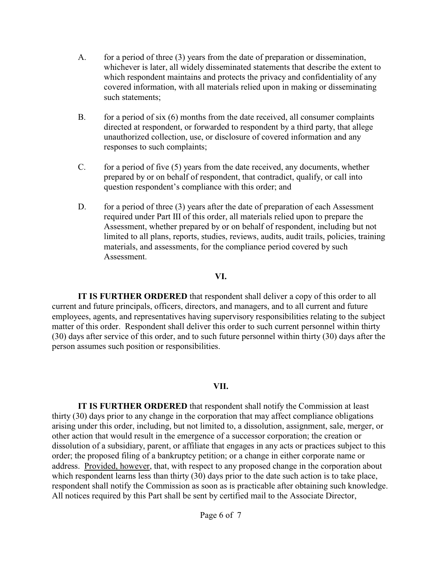- A. for a period of three (3) years from the date of preparation or dissemination, whichever is later, all widely disseminated statements that describe the extent to which respondent maintains and protects the privacy and confidentiality of any covered information, with all materials relied upon in making or disseminating such statements;
- B. for a period of six (6) months from the date received, all consumer complaints directed at respondent, or forwarded to respondent by a third party, that allege unauthorized collection, use, or disclosure of covered information and any responses to such complaints;
- C. for a period of five (5) years from the date received, any documents, whether prepared by or on behalf of respondent, that contradict, qualify, or call into question respondent's compliance with this order; and
- D. for a period of three (3) years after the date of preparation of each Assessment required under Part III of this order, all materials relied upon to prepare the Assessment, whether prepared by or on behalf of respondent, including but not limited to all plans, reports, studies, reviews, audits, audit trails, policies, training materials, and assessments, for the compliance period covered by such Assessment.

### **VI.**

**IT IS FURTHER ORDERED** that respondent shall deliver a copy of this order to all current and future principals, officers, directors, and managers, and to all current and future employees, agents, and representatives having supervisory responsibilities relating to the subject matter of this order. Respondent shall deliver this order to such current personnel within thirty (30) days after service of this order, and to such future personnel within thirty (30) days after the person assumes such position or responsibilities.

### **VII.**

**IT IS FURTHER ORDERED** that respondent shall notify the Commission at least thirty (30) days prior to any change in the corporation that may affect compliance obligations arising under this order, including, but not limited to, a dissolution, assignment, sale, merger, or other action that would result in the emergence of a successor corporation; the creation or dissolution of a subsidiary, parent, or affiliate that engages in any acts or practices subject to this order; the proposed filing of a bankruptcy petition; or a change in either corporate name or address. Provided, however, that, with respect to any proposed change in the corporation about which respondent learns less than thirty (30) days prior to the date such action is to take place, respondent shall notify the Commission as soon as is practicable after obtaining such knowledge. All notices required by this Part shall be sent by certified mail to the Associate Director,